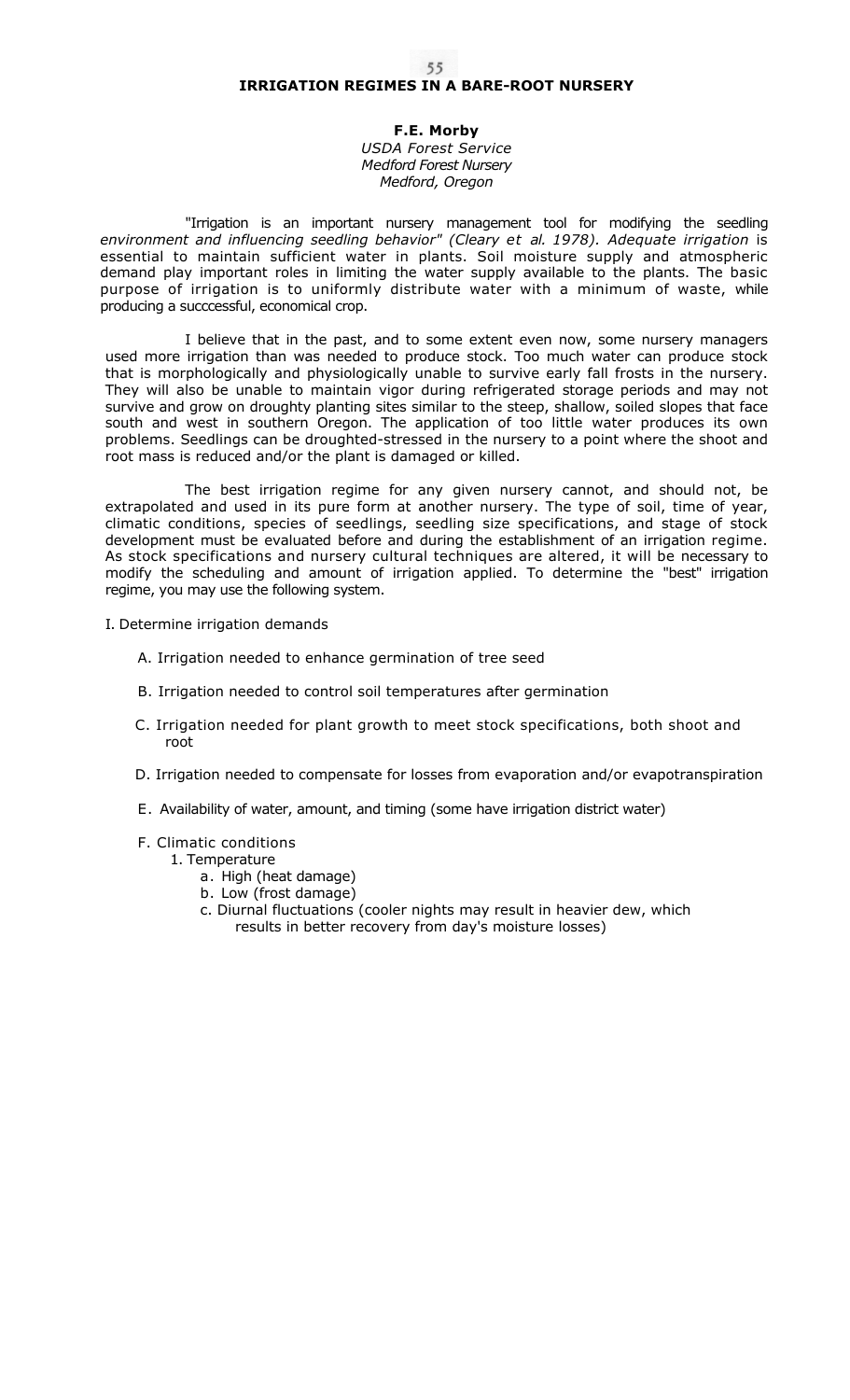# **IRRIGATION REGIMES IN A BARE-ROOT NURSERY**

**F.E. Morby**  *USDA Forest Service Medford Forest Nursery Medford, Oregon* 

"Irrigation is an important nursery management tool for modifying the seedling *environment and influencing seedling behavior" (Cleary et al. 1978). Adequate irrigation* is essential to maintain sufficient water in plants. Soil moisture supply and atmospheric demand play important roles in limiting the water supply available to the plants. The basic purpose of irrigation is to uniformly distribute water with a minimum of waste, while producing a succcessful, economical crop.

I believe that in the past, and to some extent even now, some nursery managers used more irrigation than was needed to produce stock. Too much water can produce stock that is morphologically and physiologically unable to survive early fall frosts in the nursery. They will also be unable to maintain vigor during refrigerated storage periods and may not survive and grow on droughty planting sites similar to the steep, shallow, soiled slopes that face south and west in southern Oregon. The application of too little water produces its own problems. Seedlings can be droughted-stressed in the nursery to a point where the shoot and root mass is reduced and/or the plant is damaged or killed.

The best irrigation regime for any given nursery cannot, and should not, be extrapolated and used in its pure form at another nursery. The type of soil, time of year, climatic conditions, species of seedlings, seedling size specifications, and stage of stock development must be evaluated before and during the establishment of an irrigation regime. As stock specifications and nursery cultural techniques are altered, it will be necessary to modify the scheduling and amount of irrigation applied. To determine the "best" irrigation regime, you may use the following system.

I. Determine irrigation demands

- A. Irrigation needed to enhance germination of tree seed
- B. Irrigation needed to control soil temperatures after germination
- C. Irrigation needed for plant growth to meet stock specifications, both shoot and root
- D. Irrigation needed to compensate for losses from evaporation and/or evapotranspiration
- E. Availability of water, amount, and timing (some have irrigation district water)

# F. Climatic conditions

- 1. Temperature
	- a. High (heat damage)
	- b. Low (frost damage)
	- c. Diurnal fluctuations (cooler nights may result in heavier dew, which results in better recovery from day's moisture losses)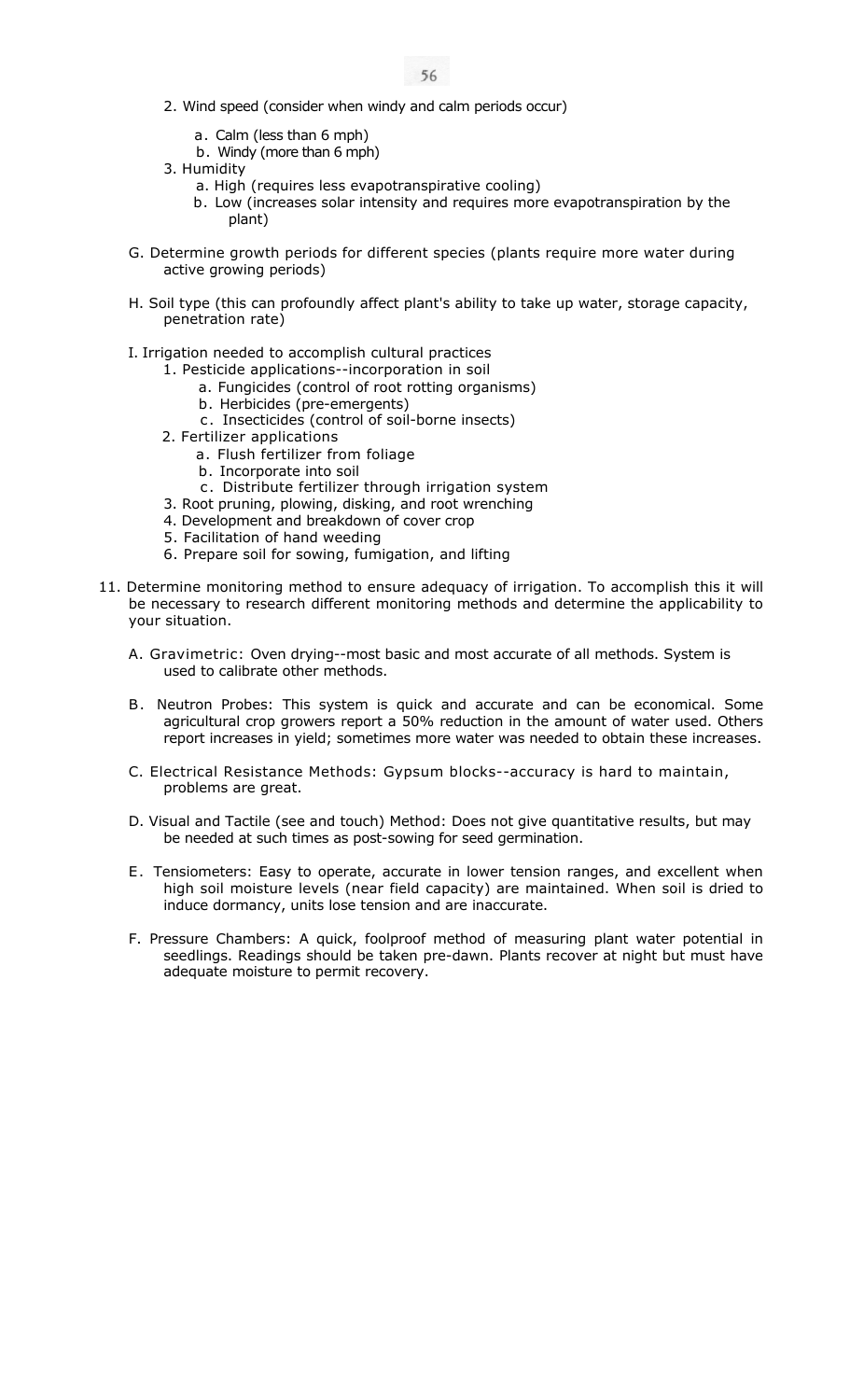- 2. Wind speed (consider when windy and calm periods occur)
	- a. Calm (less than 6 mph)
	- b. Windy (more than 6 mph)
- 3. Humidity
	- a. High (requires less evapotranspirative cooling)
	- b. Low (increases solar intensity and requires more evapotranspiration by the plant)
- G. Determine growth periods for different species (plants require more water during active growing periods)
- H. Soil type (this can profoundly affect plant's ability to take up water, storage capacity, penetration rate)
- I. Irrigation needed to accomplish cultural practices
	- 1. Pesticide applications--incorporation in soil
		- a. Fungicides (control of root rotting organisms)
		- b. Herbicides (pre-emergents)
		- c . Insecticides (control of soil-borne insects)
	- 2. Fertilizer applications
		- a. Flush fertilizer from foliage
		- b. Incorporate into soil
		- c. Distribute fertilizer through irrigation system
	- 3. Root pruning, plowing, disking, and root wrenching
	- 4. Development and breakdown of cover crop
	- 5. Facilitation of hand weeding
	- 6. Prepare soil for sowing, fumigation, and lifting
- 11. Determine monitoring method to ensure adequacy of irrigation. To accomplish this it will be necessary to research different monitoring methods and determine the applicability to your situation.
	- A. Gravimetric: Oven drying--most basic and most accurate of all methods. System is used to calibrate other methods.
	- B. Neutron Probes: This system is quick and accurate and can be economical. Some agricultural crop growers report a 50% reduction in the amount of water used. Others report increases in yield; sometimes more water was needed to obtain these increases.
	- C. Electrical Resistance Methods: Gypsum blocks--accuracy is hard to maintain, problems are great.
	- D. Visual and Tactile (see and touch) Method: Does not give quantitative results, but may be needed at such times as post-sowing for seed germination.
	- E . Tensiometers: Easy to operate, accurate in lower tension ranges, and excellent when high soil moisture levels (near field capacity) are maintained. When soil is dried to induce dormancy, units lose tension and are inaccurate.
	- F. Pressure Chambers: A quick, foolproof method of measuring plant water potential in seedlings. Readings should be taken pre-dawn. Plants recover at night but must have adequate moisture to permit recovery.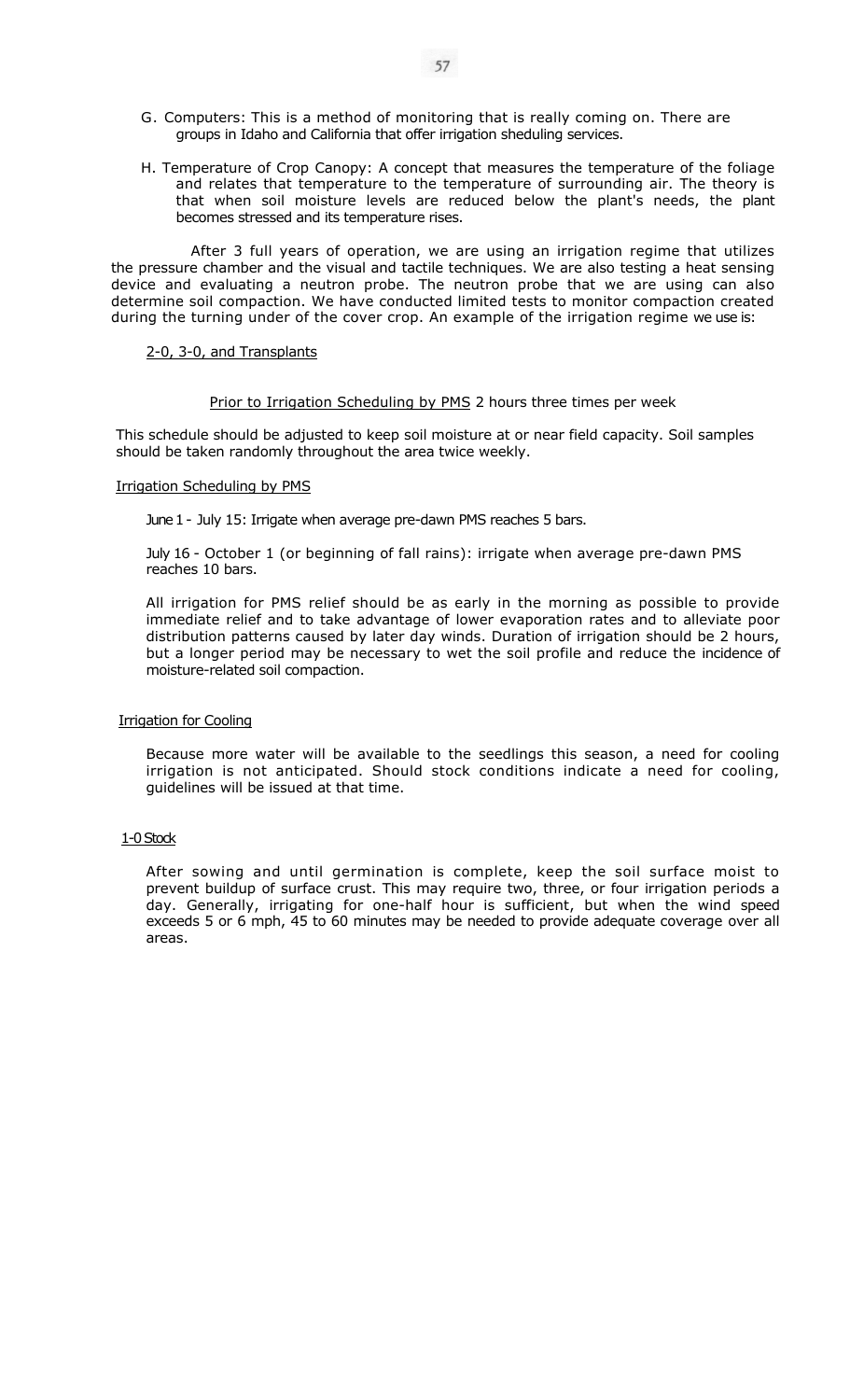- G. Computers: This is a method of monitoring that is really coming on. There are groups in Idaho and California that offer irrigation sheduling services.
- H. Temperature of Crop Canopy: A concept that measures the temperature of the foliage and relates that temperature to the temperature of surrounding air. The theory is that when soil moisture levels are reduced below the plant's needs, the plant becomes stressed and its temperature rises.

After 3 full years of operation, we are using an irrigation regime that utilizes the pressure chamber and the visual and tactile techniques. We are also testing a heat sensing device and evaluating a neutron probe. The neutron probe that we are using can also determine soil compaction. We have conducted limited tests to monitor compaction created during the turning under of the cover crop. An example of the irrigation regime we use is:

#### 2-0, 3-0, and Transplants

#### Prior to Irrigation Scheduling by PMS 2 hours three times per week

This schedule should be adjusted to keep soil moisture at or near field capacity. Soil samples should be taken randomly throughout the area twice weekly.

#### Irrigation Scheduling by PMS

June 1 - July 15: Irrigate when average pre-dawn PMS reaches 5 bars.

July 16 - October 1 (or beginning of fall rains): irrigate when average pre-dawn PMS reaches 10 bars.

All irrigation for PMS relief should be as early in the morning as possible to provide immediate relief and to take advantage of lower evaporation rates and to alleviate poor distribution patterns caused by later day winds. Duration of irrigation should be 2 hours, but a longer period may be necessary to wet the soil profile and reduce the incidence of moisture-related soil compaction.

# Irrigation for Cooling

Because more water will be available to the seedlings this season, a need for cooling irrigation is not anticipated. Should stock conditions indicate a need for cooling, guidelines will be issued at that time.

# 1-0 Stock

After sowing and until germination is complete, keep the soil surface moist to prevent buildup of surface crust. This may require two, three, or four irrigation periods a day. Generally, irrigating for one-half hour is sufficient, but when the wind speed exceeds 5 or 6 mph, 45 to 60 minutes may be needed to provide adequate coverage over all areas.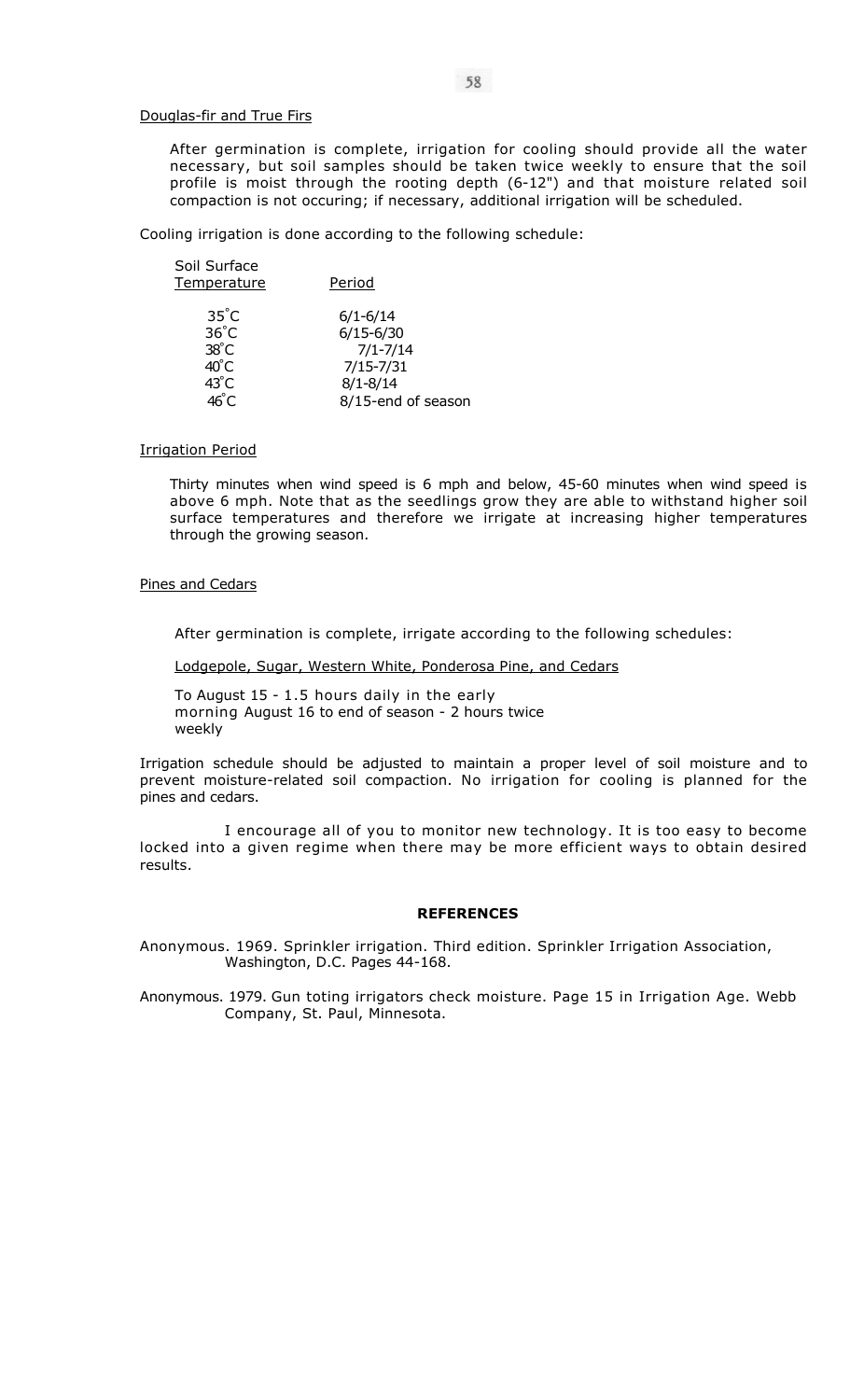#### Douglas-fir and True Firs

After germination is complete, irrigation for cooling should provide all the water necessary, but soil samples should be taken twice weekly to ensure that the soil profile is moist through the rooting depth (6-12") and that moisture related soil compaction is not occuring; if necessary, additional irrigation will be scheduled.

Cooling irrigation is done according to the following schedule:

| Soil Surface<br><u>Temperature</u>                 | Period                                        |
|----------------------------------------------------|-----------------------------------------------|
| $35^{\circ}$ C<br>$36^{\circ}$ C<br>$38^{\circ}$ C | $6/1 - 6/14$<br>$6/15 - 6/30$<br>$7/1 - 7/14$ |
| 40°C                                               | $7/15 - 7/31$                                 |
| $43^{\circ}$ C                                     | $8/1 - 8/14$                                  |
|                                                    | 8/15-end of season                            |

# Irrigation Period

Thirty minutes when wind speed is 6 mph and below, 45-60 minutes when wind speed is above 6 mph. Note that as the seedlings grow they are able to withstand higher soil surface temperatures and therefore we irrigate at increasing higher temperatures through the growing season.

# Pines and Cedars

After germination is complete, irrigate according to the following schedules:

Lodgepole, Sugar, Western White, Ponderosa Pine, and Cedars

To August 15 - 1.5 hours daily in the early morning August 16 to end of season - 2 hours twice weekly

Irrigation schedule should be adjusted to maintain a proper level of soil moisture and to prevent moisture-related soil compaction. No irrigation for cooling is planned for the pines and cedars.

I encourage all of you to monitor new technology. It is too easy to become locked into a given regime when there may be more efficient ways to obtain desired results.

# **REFERENCES**

Anonymous. 1969. Sprinkler irrigation. Third edition. Sprinkler Irrigation Association, Washington, D.C. Pages 44-168.

Anonymous. 1979. Gun toting irrigators check moisture. Page 15 in Irrigation Age. Webb Company, St. Paul, Minnesota.